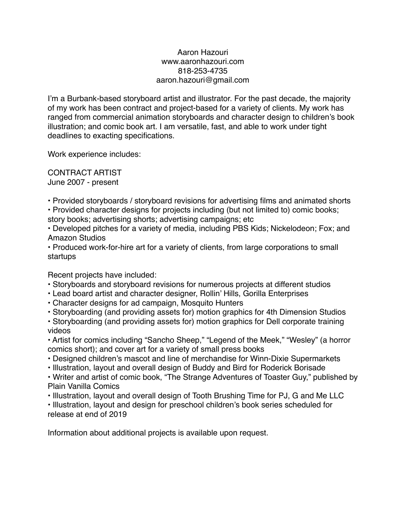## Aaron Hazouri www.aaronhazouri.com 818-253-4735 aaron.hazouri@gmail.com

I'm a Burbank-based storyboard artist and illustrator. For the past decade, the majority of my work has been contract and project-based for a variety of clients. My work has ranged from commercial animation storyboards and character design to children's book illustration; and comic book art. I am versatile, fast, and able to work under tight deadlines to exacting specifications.

Work experience includes:

CONTRACT ARTIST June 2007 - present

• Provided storyboards / storyboard revisions for advertising films and animated shorts

• Provided character designs for projects including (but not limited to) comic books;

story books; advertising shorts; advertising campaigns; etc

• Developed pitches for a variety of media, including PBS Kids; Nickelodeon; Fox; and Amazon Studios

• Produced work-for-hire art for a variety of clients, from large corporations to small startups

Recent projects have included:

- Storyboards and storyboard revisions for numerous projects at different studios
- Lead board artist and character designer, Rollin' Hills, Gorilla Enterprises
- Character designs for ad campaign, Mosquito Hunters
- Storyboarding (and providing assets for) motion graphics for 4th Dimension Studios

• Storyboarding (and providing assets for) motion graphics for Dell corporate training videos

• Artist for comics including "Sancho Sheep," "Legend of the Meek," "Wesley" (a horror comics short); and cover art for a variety of small press books

- Designed children's mascot and line of merchandise for Winn-Dixie Supermarkets
- Illustration, layout and overall design of Buddy and Bird for Roderick Borisade

• Writer and artist of comic book, "The Strange Adventures of Toaster Guy," published by Plain Vanilla Comics

• Illustration, layout and overall design of Tooth Brushing Time for PJ, G and Me LLC

• Illustration, layout and design for preschool children's book series scheduled for release at end of 2019

Information about additional projects is available upon request.